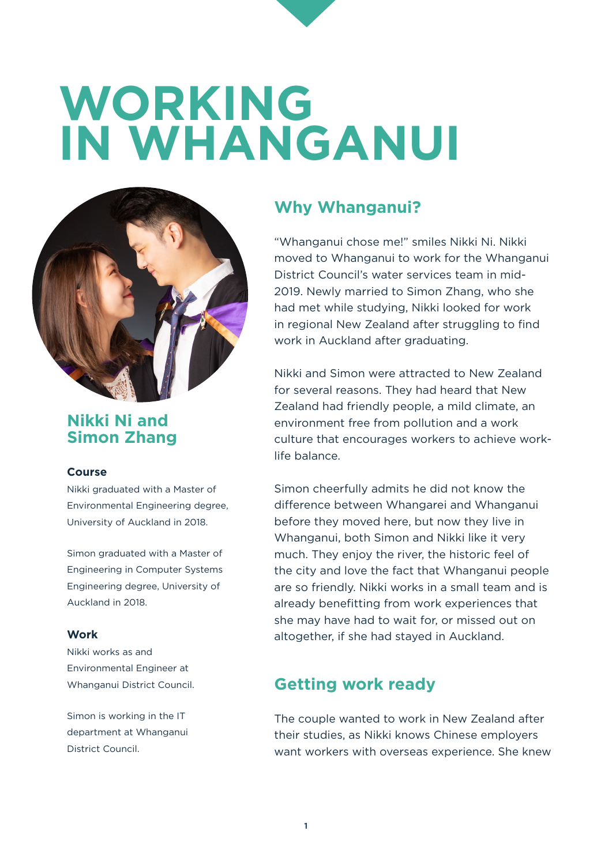# **WORKING IN WHANGANUI**



### **Nikki Ni and Simon Zhang**

#### **Course**

Nikki graduated with a Master of Environmental Engineering degree, University of Auckland in 2018.

Simon graduated with a Master of Engineering in Computer Systems Engineering degree, University of Auckland in 2018.

#### **Work**

Nikki works as and Environmental Engineer at Whanganui District Council.

Simon is working in the IT department at Whanganui District Council.

## **Why Whanganui?**

"Whanganui chose me!" smiles Nikki Ni. Nikki moved to Whanganui to work for the Whanganui District Council's water services team in mid-2019. Newly married to Simon Zhang, who she had met while studying, Nikki looked for work in regional New Zealand after struggling to find work in Auckland after graduating.

Nikki and Simon were attracted to New Zealand for several reasons. They had heard that New Zealand had friendly people, a mild climate, an environment free from pollution and a work culture that encourages workers to achieve worklife balance.

Simon cheerfully admits he did not know the difference between Whangarei and Whanganui before they moved here, but now they live in Whanganui, both Simon and Nikki like it very much. They enjoy the river, the historic feel of the city and love the fact that Whanganui people are so friendly. Nikki works in a small team and is already benefitting from work experiences that she may have had to wait for, or missed out on altogether, if she had stayed in Auckland.

# **Getting work ready**

The couple wanted to work in New Zealand after their studies, as Nikki knows Chinese employers want workers with overseas experience. She knew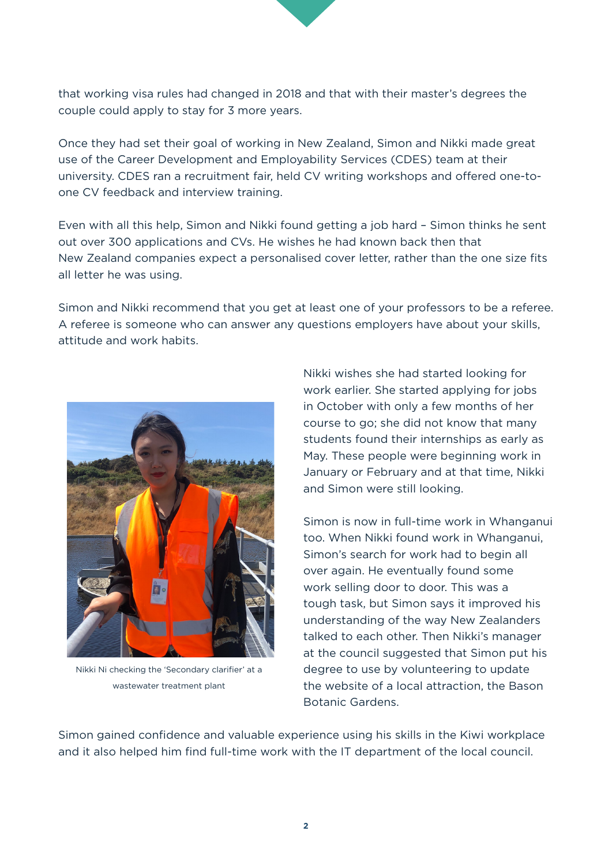

Once they had set their goal of working in New Zealand, Simon and Nikki made great use of the Career Development and Employability Services (CDES) team at their university. CDES ran a recruitment fair, held CV writing workshops and offered one-toone CV feedback and interview training.

Even with all this help, Simon and Nikki found getting a job hard – Simon thinks he sent out over 300 applications and CVs. He wishes he had known back then that New Zealand companies expect a personalised cover letter, rather than the one size fits all letter he was using.

Simon and Nikki recommend that you get at least one of your professors to be a referee. A referee is someone who can answer any questions employers have about your skills, attitude and work habits.



Nikki Ni checking the 'Secondary clarifier' at a wastewater treatment plant

Nikki wishes she had started looking for work earlier. She started applying for jobs in October with only a few months of her course to go; she did not know that many students found their internships as early as May. These people were beginning work in January or February and at that time, Nikki and Simon were still looking.

Simon is now in full-time work in Whanganui too. When Nikki found work in Whanganui, Simon's search for work had to begin all over again. He eventually found some work selling door to door. This was a tough task, but Simon says it improved his understanding of the way New Zealanders talked to each other. Then Nikki's manager at the council suggested that Simon put his degree to use by volunteering to update the website of a local attraction, the Bason Botanic Gardens.

Simon gained confidence and valuable experience using his skills in the Kiwi workplace and it also helped him find full-time work with the IT department of the local council.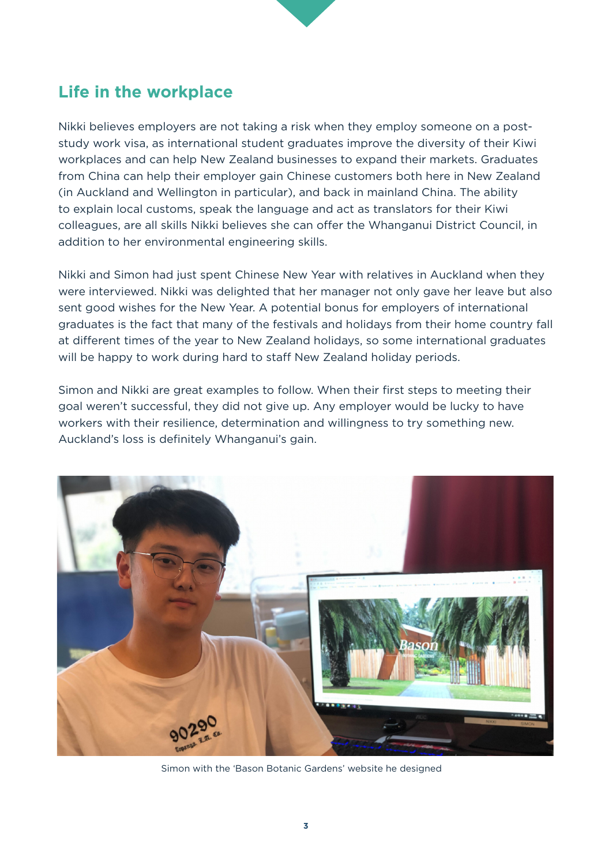## **Life in the workplace**

Nikki believes employers are not taking a risk when they employ someone on a poststudy work visa, as international student graduates improve the diversity of their Kiwi workplaces and can help New Zealand businesses to expand their markets. Graduates from China can help their employer gain Chinese customers both here in New Zealand (in Auckland and Wellington in particular), and back in mainland China. The ability to explain local customs, speak the language and act as translators for their Kiwi colleagues, are all skills Nikki believes she can offer the Whanganui District Council, in addition to her environmental engineering skills.

Nikki and Simon had just spent Chinese New Year with relatives in Auckland when they were interviewed. Nikki was delighted that her manager not only gave her leave but also sent good wishes for the New Year. A potential bonus for employers of international graduates is the fact that many of the festivals and holidays from their home country fall at different times of the year to New Zealand holidays, so some international graduates will be happy to work during hard to staff New Zealand holiday periods.

Simon and Nikki are great examples to follow. When their first steps to meeting their goal weren't successful, they did not give up. Any employer would be lucky to have workers with their resilience, determination and willingness to try something new. Auckland's loss is definitely Whanganui's gain.



Simon with the 'Bason Botanic Gardens' website he designed